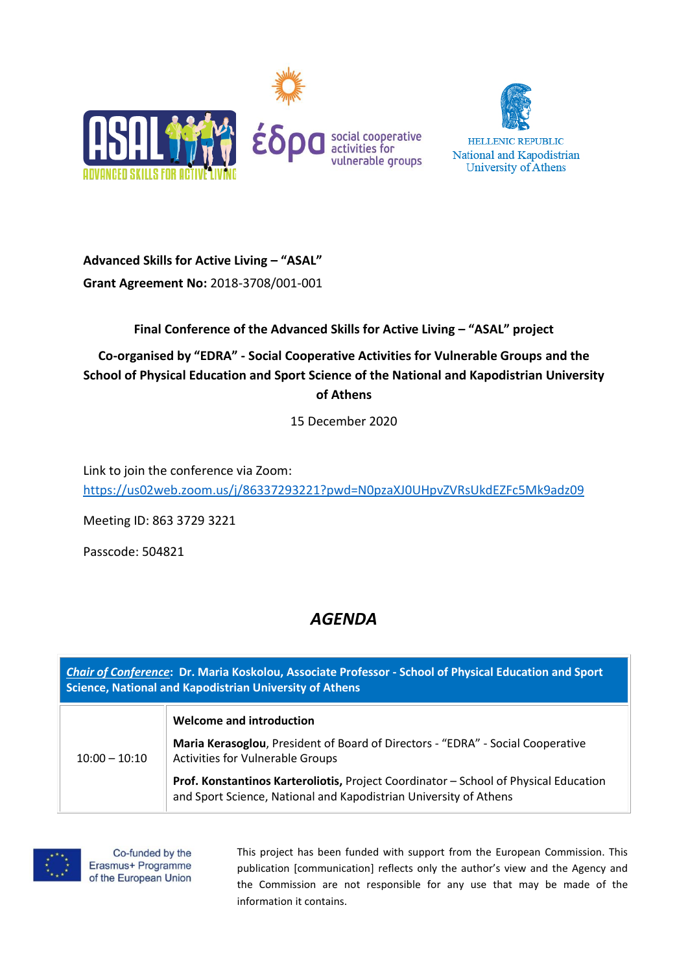



**Advanced Skills for Active Living – "ASAL" Grant Agreement No:** 2018-3708/001-001

## **Final Conference of the Advanced Skills for Active Living – "ASAL" project**

**Co-organised by "EDRA" - Social Cooperative Activities for Vulnerable Groups and the School of Physical Education and Sport Science of the National and Kapodistrian University of Athens**

15 December 2020

Link to join the conference via Zoom: <https://us02web.zoom.us/j/86337293221?pwd=N0pzaXJ0UHpvZVRsUkdEZFc5Mk9adz09>

Meeting ID: 863 3729 3221

Passcode: 504821

## *AGENDA*

*Chair of Conference***: Dr. Maria Koskolou, Associate Professor - School of Physical Education and Sport Science, National and Kapodistrian University of Athens**  $10:00 - 10:10$ **Welcome and introduction Maria Kerasoglou**, President of Board of Directors - "EDRA" - Social Cooperative Activities for Vulnerable Groups **Prof. Konstantinos Karteroliotis,** Project Coordinator – School of Physical Education and Sport Science, National and Kapodistrian University of Athens



Co-funded by the Erasmus+ Programme of the European Union This project has been funded with support from the European Commission. This publication [communication] reflects only the author's view and the Agency and the Commission are not responsible for any use that may be made of the information it contains.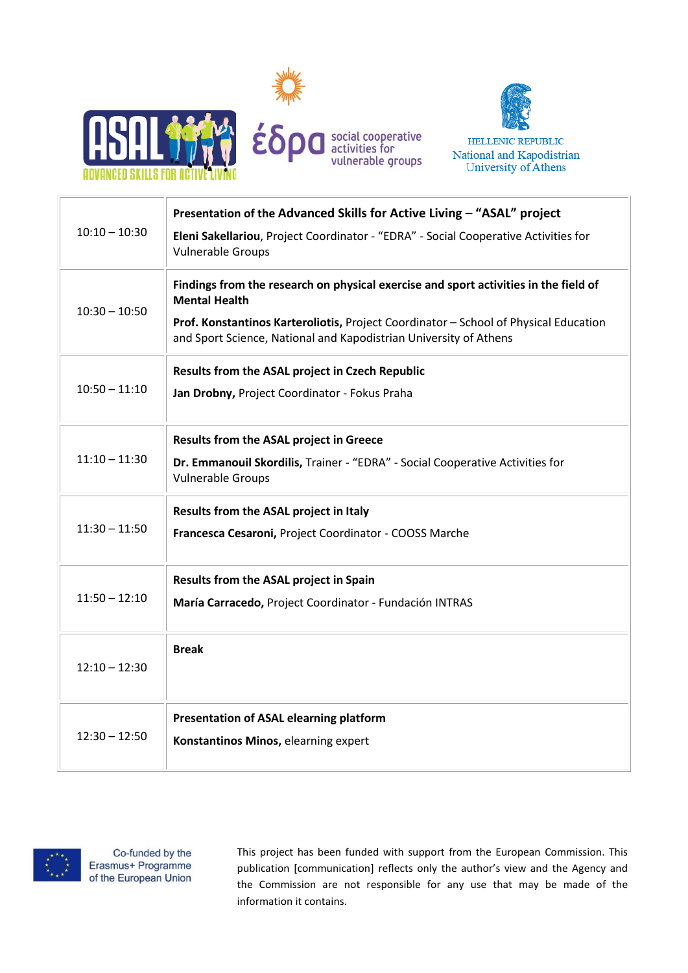



| $10:10 - 10:30$ | Presentation of the Advanced Skills for Active Living - "ASAL" project<br>Eleni Sakellariou, Project Coordinator - "EDRA" - Social Cooperative Activities for<br><b>Vulnerable Groups</b>                                                                                 |
|-----------------|---------------------------------------------------------------------------------------------------------------------------------------------------------------------------------------------------------------------------------------------------------------------------|
| $10:30 - 10:50$ | Findings from the research on physical exercise and sport activities in the field of<br><b>Mental Health</b><br>Prof. Konstantinos Karteroliotis, Project Coordinator - School of Physical Education<br>and Sport Science, National and Kapodistrian University of Athens |
| $10:50 - 11:10$ | Results from the ASAL project in Czech Republic<br>Jan Drobny, Project Coordinator - Fokus Praha                                                                                                                                                                          |
| $11:10 - 11:30$ | <b>Results from the ASAL project in Greece</b><br>Dr. Emmanouil Skordilis, Trainer - "EDRA" - Social Cooperative Activities for<br><b>Vulnerable Groups</b>                                                                                                               |
| $11:30 - 11:50$ | Results from the ASAL project in Italy<br>Francesca Cesaroni, Project Coordinator - COOSS Marche                                                                                                                                                                          |
| $11:50 - 12:10$ | Results from the ASAL project in Spain<br>María Carracedo, Project Coordinator - Fundación INTRAS                                                                                                                                                                         |
| $12:10 - 12:30$ | <b>Break</b>                                                                                                                                                                                                                                                              |
| $12:30 - 12:50$ | Presentation of ASAL elearning platform<br>Konstantinos Minos, elearning expert                                                                                                                                                                                           |



Co-funded by the Erasmus+ Programme of the European Union This project has been funded with support from the European Commission. This publication [communication] reflects only the author's view and the Agency and the Commission are not responsible for any use that may be made of the information it contains.